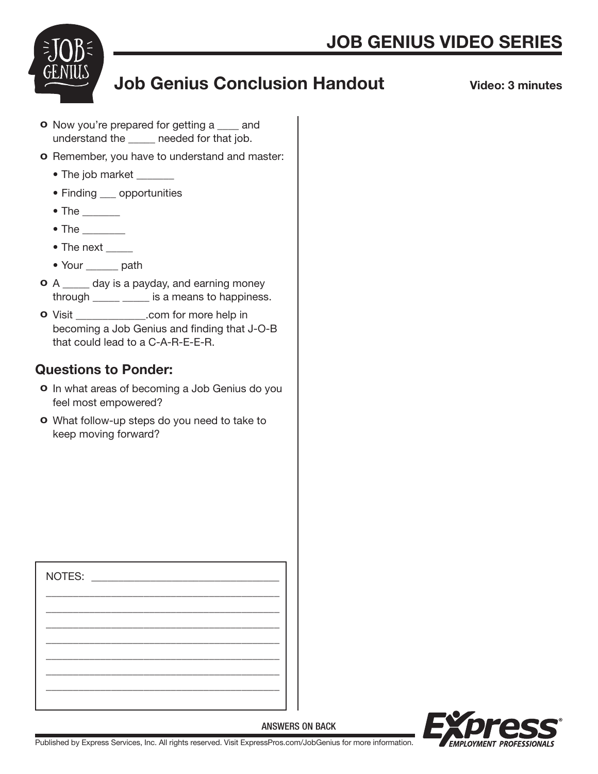

## Job Genius Conclusion Handout

Video: 3 minutes

- **o** Now you're prepared for getting a same and understand the \_\_\_\_\_ needed for that job.
- o Remember, you have to understand and master:
	- The job market \_\_\_\_\_\_
	- Finding \_\_\_ opportunities
	- $\bullet$  The  $\_\_\_\_\_\_\_\_\$
	- $\bullet$  The  $\_\_\_\_\_\_\_\_\_\_$
	- The next
	- Your \_\_\_\_\_\_ path
- **o** A \_\_\_\_\_ day is a payday, and earning money through \_\_\_\_\_ \_\_\_\_\_ is a means to happiness.
- o Visit \_\_\_\_\_\_\_\_\_\_\_\_\_.com for more help in becoming a Job Genius and finding that J-O-B that could lead to a C-A-R-E-E-R.

## Questions to Ponder:

- o In what areas of becoming a Job Genius do you feel most empowered?
- o What follow-up steps do you need to take to keep moving forward?

| NOTES: NOTES: |  |  |  |
|---------------|--|--|--|
|               |  |  |  |
|               |  |  |  |
|               |  |  |  |
|               |  |  |  |
|               |  |  |  |
|               |  |  |  |



Published by Express Services, Inc. All rights reserved. Visit ExpressPros.com/JobGenius for more information.

ANSWERS ON BACK